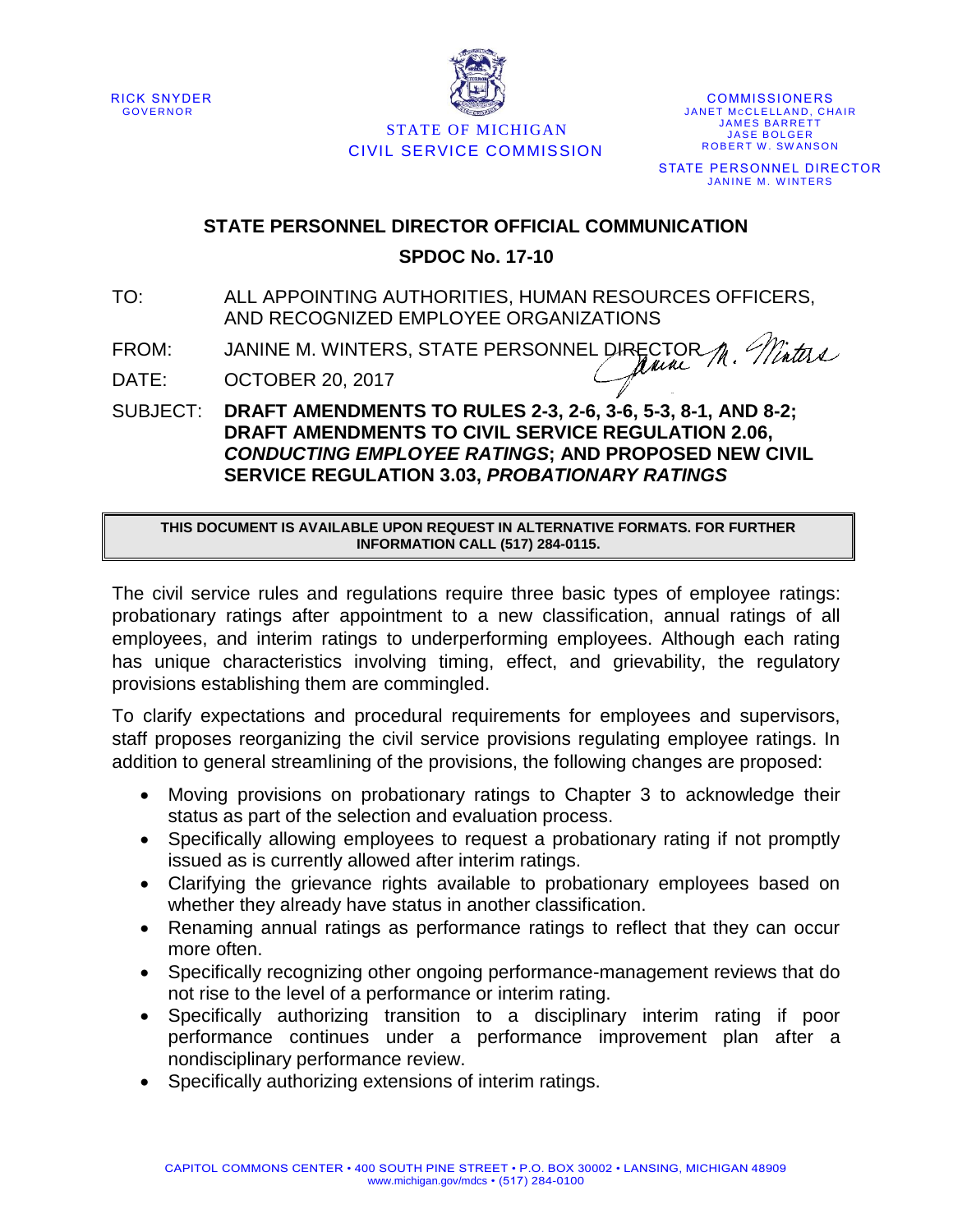



STATE OF MICHIGAN CIVIL SERVICE COMMISSION

**COMMISSIONERS** JANET MCCLELLAND, CHAIR **JAMES BARRETT JASE BOLGER** ROBERT W. SWANSON STATE PERSONNEL DIRECTOR JANINE M. WINTERS

## **STATE PERSONNEL DIRECTOR OFFICIAL COMMUNICATION SPDOC No. 17-10**

TO: ALL APPOINTING AUTHORITIES, HUMAN RESOURCES OFFICERS, AND RECOGNIZED EMPLOYEE ORGANIZATIONS

M. Minters FROM: JANINE M. WINTERS, STATE PERSONNEL DIRECTOR

DATE: OCTOBER 20, 2017

SUBJECT: **DRAFT AMENDMENTS TO RULES 2-3, 2-6, 3-6, 5-3, 8-1, AND 8-2; DRAFT AMENDMENTS TO CIVIL SERVICE REGULATION 2.06,**  *CONDUCTING EMPLOYEE RATINGS***; AND PROPOSED NEW CIVIL SERVICE REGULATION 3.03,** *PROBATIONARY RATINGS*

**THIS DOCUMENT IS AVAILABLE UPON REQUEST IN ALTERNATIVE FORMATS. FOR FURTHER INFORMATION CALL (517) 284-0115.**

The civil service rules and regulations require three basic types of employee ratings: probationary ratings after appointment to a new classification, annual ratings of all employees, and interim ratings to underperforming employees. Although each rating has unique characteristics involving timing, effect, and grievability, the regulatory provisions establishing them are commingled.

To clarify expectations and procedural requirements for employees and supervisors, staff proposes reorganizing the civil service provisions regulating employee ratings. In addition to general streamlining of the provisions, the following changes are proposed:

- Moving provisions on probationary ratings to Chapter 3 to acknowledge their status as part of the selection and evaluation process.
- Specifically allowing employees to request a probationary rating if not promptly issued as is currently allowed after interim ratings.
- Clarifying the grievance rights available to probationary employees based on whether they already have status in another classification.
- Renaming annual ratings as performance ratings to reflect that they can occur more often.
- Specifically recognizing other ongoing performance-management reviews that do not rise to the level of a performance or interim rating.
- Specifically authorizing transition to a disciplinary interim rating if poor performance continues under a performance improvement plan after a nondisciplinary performance review.
- Specifically authorizing extensions of interim ratings.